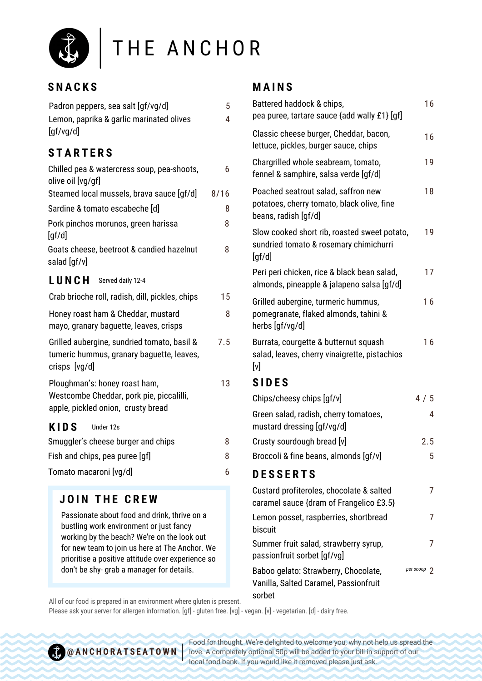

# THE ANCHOR

## **S N A C K S**

| Padron peppers, sea salt [gf/vg/d]<br>Lemon, paprika & garlic marinated olives                                  | 5<br>4 |
|-----------------------------------------------------------------------------------------------------------------|--------|
| [qf/vq/d]                                                                                                       |        |
| <b>STARTERS</b>                                                                                                 |        |
| Chilled pea & watercress soup, pea-shoots,<br>olive oil [vg/gf]                                                 | 6      |
| Steamed local mussels, brava sauce [qf/d]                                                                       | 8/16   |
| Sardine & tomato escabeche [d]                                                                                  | 8      |
| Pork pinchos morunos, green harissa<br>[gf/d]                                                                   | 8      |
| Goats cheese, beetroot & candied hazelnut<br>salad [gf/v]                                                       | 8      |
| LUNCH Served daily 12-4                                                                                         |        |
| Crab brioche roll, radish, dill, pickles, chips                                                                 | 15     |
| Honey roast ham & Cheddar, mustard<br>mayo, granary baguette, leaves, crisps                                    | 8      |
| Grilled aubergine, sundried tomato, basil &<br>tumeric hummus, granary baguette, leaves,<br>crisps [vg/d]       | 7.5    |
| Ploughman's: honey roast ham,<br>Westcombe Cheddar, pork pie, piccalilli,<br>apple, pickled onion, crusty bread | 13     |
| KIDS<br>Under 12s                                                                                               |        |
| Smuggler's cheese burger and chips                                                                              | 8      |
| Fish and chips, pea puree [gf]                                                                                  | 8      |
| Tomato macaroni [vg/d]                                                                                          | 6      |

### **J O I N T H E C R E W**

Passionate about food and drink, thrive on a bustling work environment or just fancy working by the beach? We're on the look out for new team to join us here at The Anchor. We prioritise a positive attitude over experience so don't be shy- grab a manager for details.

## **M A I N S**

| Battered haddock & chips,<br>pea puree, tartare sauce {add wally £1} [gf]                                 | 16             |
|-----------------------------------------------------------------------------------------------------------|----------------|
| Classic cheese burger, Cheddar, bacon,<br>lettuce, pickles, burger sauce, chips                           | 16             |
| Chargrilled whole seabream, tomato,<br>fennel & samphire, salsa verde [gf/d]                              | 19             |
| Poached seatrout salad, saffron new<br>potatoes, cherry tomato, black olive, fine<br>beans, radish [gf/d] | 18             |
| Slow cooked short rib, roasted sweet potato,<br>sundried tomato & rosemary chimichurri<br>[gf/d]          | 19             |
| Peri peri chicken, rice & black bean salad,<br>almonds, pineapple & jalapeno salsa [gf/d]                 | 17             |
| Grilled aubergine, turmeric hummus,<br>pomegranate, flaked almonds, tahini &<br>herbs [gf/vg/d]           | 16             |
| Burrata, courgette & butternut squash<br>salad, leaves, cherry vinaigrette, pistachios<br>[v]             | 16             |
| <b>SIDES</b>                                                                                              |                |
| Chips/cheesy chips [gf/v]                                                                                 | 4/5            |
| Green salad, radish, cherry tomatoes,<br>mustard dressing [gf/vg/d]                                       | 4              |
| Crusty sourdough bread [v]                                                                                | 2.5            |
| Broccoli & fine beans, almonds [gf/v]                                                                     | 5              |
| <b>DESSERTS</b>                                                                                           |                |
| Custard profiteroles, chocolate & salted<br>caramel sauce {dram of Frangelico £3.5}                       | 7              |
| Lemon posset, raspberries, shortbread<br>biscuit                                                          | 7              |
| Summer fruit salad, strawberry syrup,<br>passionfruit sorbet [gf/vg]                                      | 7              |
| Baboo gelato: Strawberry, Chocolate,<br>Vanilla, Salted Caramel, Passionfruit<br>sorbet                   | per scoop<br>2 |

All of our food is prepared in an environment where gluten is present.

Please ask your server for allergen information. [gf] - gluten free. [vg] - vegan. [v] - vegetarian. [d] - dairy free.

**@ A N C H O R A T S E A T O W N**

Food for thought. We're delighted to welcome you, why not help us spread the love. A completely optional 50p will be added to your bill in support of our local food bank. If you would like it removed please just ask.